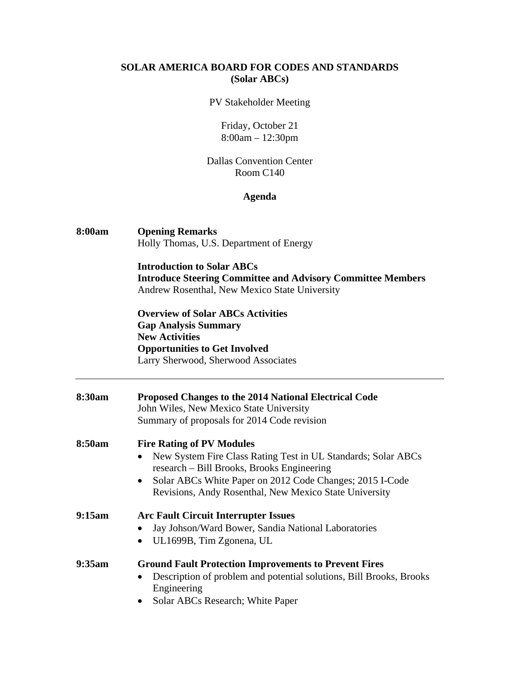### **SOLAR AMERICA BOARD FOR CODES AND STANDARDS (Solar ABCs)**

#### PV Stakeholder Meeting

Friday, October 21 8:00am – 12:30pm

### Dallas Convention Center Room C140

## **Agenda**

# **8:00am Opening Remarks**  Holly Thomas, U.S. Department of Energy

**Introduction to Solar ABCs Introduce Steering Committee and Advisory Committee Members**  Andrew Rosenthal, New Mexico State University

 **Overview of Solar ABCs Activities Gap Analysis Summary New Activities Opportunities to Get Involved**  Larry Sherwood, Sherwood Associates

| 8:30am | <b>Proposed Changes to the 2014 National Electrical Code</b><br>John Wiles, New Mexico State University<br>Summary of proposals for 2014 Code revision                                                                                                                |
|--------|-----------------------------------------------------------------------------------------------------------------------------------------------------------------------------------------------------------------------------------------------------------------------|
| 8:50am | <b>Fire Rating of PV Modules</b><br>New System Fire Class Rating Test in UL Standards; Solar ABCs<br>research – Bill Brooks, Brooks Engineering<br>Solar ABCs White Paper on 2012 Code Changes; 2015 I-Code<br>Revisions, Andy Rosenthal, New Mexico State University |
| 9:15am | <b>Arc Fault Circuit Interrupter Issues</b><br>Jay Johson/Ward Bower, Sandia National Laboratories<br>UL1699B, Tim Zgonena, UL                                                                                                                                        |
| 9:35am | <b>Ground Fault Protection Improvements to Prevent Fires</b><br>Description of problem and potential solutions, Bill Brooks, Brooks<br>Engineering<br>Solar ABCs Research; White Paper                                                                                |